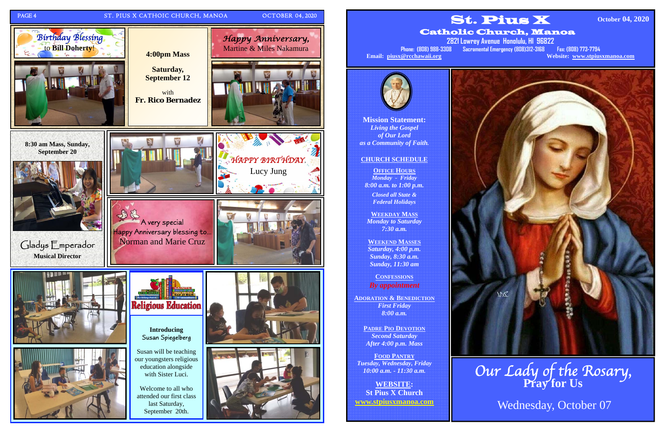

**Mission Statement:**  *Living the Gospel of Our Lord as a Community of Faith.* 

# **CHURCH SCHEDULE**

**OFFICE HOURS** *Monday - Friday 8:00 a.m. to 1:00 p.m.* 

*Closed all State & Federal Holidays* 

**WEEKDAY MASS**  *Monday to Saturday 7:30 a.m.* 

**WEEKEND MASSES**  *Saturday, 4:00 p.m. Sunday, 8:30 a.m. Sunday, 11:30 am* 

**CONFESSIONS** *By appointment* 

**ADORATION & BENEDICTION***First Friday 8:00 a.m.* 

> **PADRE PIO DEVOTION** *Second Saturday After 4:00 p.m. Mass*

**FOOD PANTRY***Tuesday, Wednesday, Friday 10:00 a.m. - 11:30 a.m.* 

**WEBSITE: St Pius X Church www.stpiusxmanoa.com** 





Catholic Church, Manoa



**2821 Lowrey Avenue Honolulu, HI 96822 Phone: (808) 988-3308 Sacramental Emergency (808)312-3168 Fax: (808) 773-7794 Email: piusx@rcchawaii.org Website: www.stpiusxmanoa.com**

**October 04, 2020** 

Our Lady of the Rosary, **Pray for Us** 

Wednesday, October 07